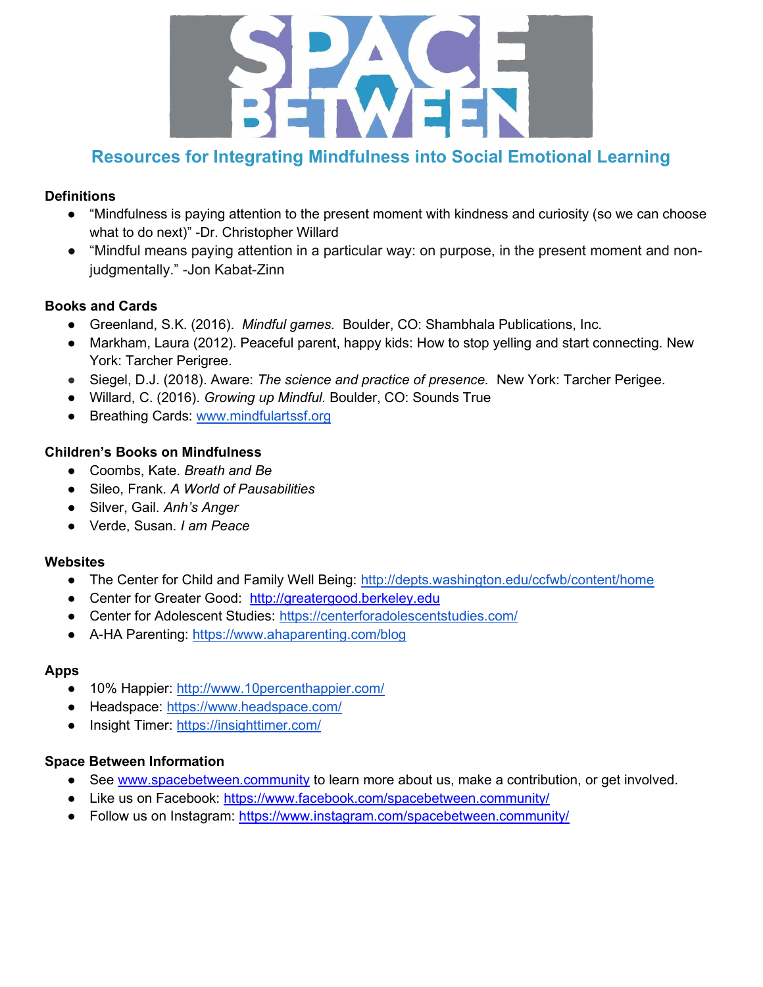

# Resources for Integrating Mindfulness into Social Emotional Learning

# **Definitions**

- "Mindfulness is paying attention to the present moment with kindness and curiosity (so we can choose what to do next)" -Dr. Christopher Willard
- "Mindful means paying attention in a particular way: on purpose, in the present moment and nonjudgmentally." -Jon Kabat-Zinn

# Books and Cards

- Greenland, S.K. (2016). Mindful games. Boulder, CO: Shambhala Publications, Inc.
- Markham, Laura (2012). Peaceful parent, happy kids: How to stop yelling and start connecting. New York: Tarcher Perigree.
- Siegel, D.J. (2018). Aware: The science and practice of presence. New York: Tarcher Perigee.
- Willard, C. (2016). Growing up Mindful. Boulder, CO: Sounds True
- Breathing Cards: www.mindfulartssf.org

# Children's Books on Mindfulness

- Coombs, Kate. Breath and Be
- Sileo, Frank. A World of Pausabilities
- Silver, Gail. Anh's Anger
- Verde, Susan. I am Peace

# **Websites**

- The Center for Child and Family Well Being: http://depts.washington.edu/ccfwb/content/home
- Center for Greater Good: http://greatergood.berkeley.edu
- Center for Adolescent Studies: https://centerforadolescentstudies.com/
- A-HA Parenting: https://www.ahaparenting.com/blog

# Apps

- 10% Happier: http://www.10percenthappier.com/
- Headspace: https://www.headspace.com/
- Insight Timer: https://insighttimer.com/

# Space Between Information

- See www.spacebetween.community to learn more about us, make a contribution, or get involved.
- Like us on Facebook: https://www.facebook.com/spacebetween.community/
- Follow us on Instagram: https://www.instagram.com/spacebetween.community/